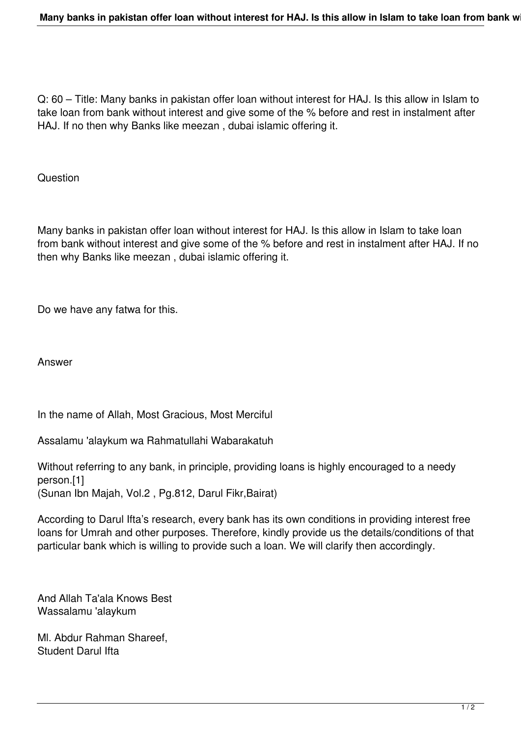Q: 60 – Title: Many banks in pakistan offer loan without interest for HAJ. Is this allow in Islam to take loan from bank without interest and give some of the % before and rest in instalment after HAJ. If no then why Banks like meezan , dubai islamic offering it.

**Question** 

Many banks in pakistan offer loan without interest for HAJ. Is this allow in Islam to take loan from bank without interest and give some of the % before and rest in instalment after HAJ. If no then why Banks like meezan , dubai islamic offering it.

Do we have any fatwa for this.

Answer

In the name of Allah, Most Gracious, Most Merciful

Assalamu 'alaykum wa Rahmatullahi Wabarakatuh

Without referring to any bank, in principle, providing loans is highly encouraged to a needy person.[1] (Sunan Ibn Majah, Vol.2 , Pg.812, Darul Fikr,Bairat)

According to Darul Ifta's research, every bank has its own conditions in providing interest free loans for Umrah and other purposes. Therefore, kindly provide us the details/conditions of that particular bank which is willing to provide such a loan. We will clarify then accordingly.

And Allah Ta'ala Knows Best Wassalamu 'alaykum

Ml. Abdur Rahman Shareef, Student Darul Ifta